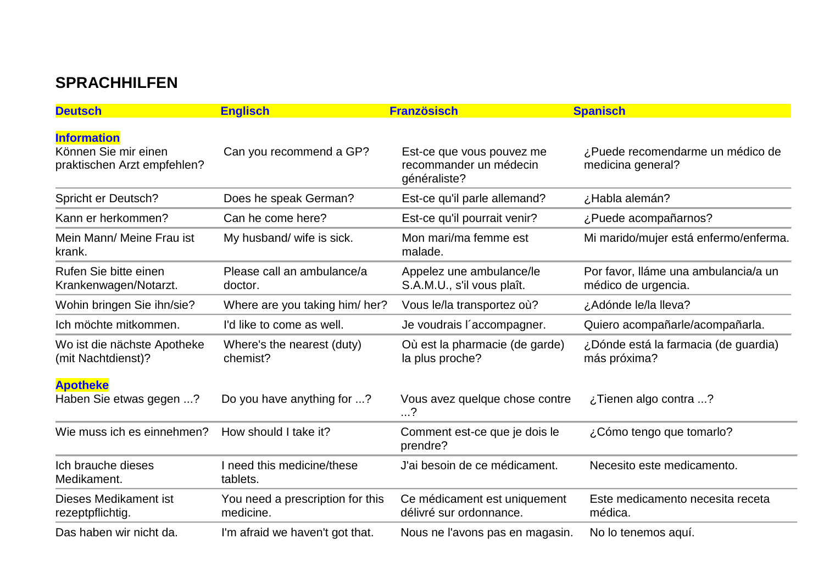## **SPRACHHILFEN**

| <b>Deutsch</b>                                                            | <b>Englisch</b>                               | <b>Französisch</b>                                                  | <b>Spanisch</b>                                             |
|---------------------------------------------------------------------------|-----------------------------------------------|---------------------------------------------------------------------|-------------------------------------------------------------|
| <b>Information</b><br>Können Sie mir einen<br>praktischen Arzt empfehlen? | Can you recommend a GP?                       | Est-ce que vous pouvez me<br>recommander un médecin<br>généraliste? | ¿Puede recomendarme un médico de<br>medicina general?       |
| Spricht er Deutsch?                                                       | Does he speak German?                         | Est-ce qu'il parle allemand?                                        | ¿Habla alemán?                                              |
| Kann er herkommen?                                                        | Can he come here?                             | Est-ce qu'il pourrait venir?                                        | ¿Puede acompañarnos?                                        |
| Mein Mann/ Meine Frau ist<br>krank.                                       | My husband/ wife is sick.                     | Mon mari/ma femme est<br>malade.                                    | Mi marido/mujer está enfermo/enferma.                       |
| Rufen Sie bitte einen<br>Krankenwagen/Notarzt.                            | Please call an ambulance/a<br>doctor.         | Appelez une ambulance/le<br>S.A.M.U., s'il vous plaît.              | Por favor, lláme una ambulancia/a un<br>médico de urgencia. |
| Wohin bringen Sie ihn/sie?                                                | Where are you taking him/her?                 | Vous le/la transportez où?                                          | ¿Adónde le/la lleva?                                        |
| Ich möchte mitkommen.                                                     | I'd like to come as well.                     | Je voudrais l'accompagner.                                          | Quiero acompañarle/acompañarla.                             |
| Wo ist die nächste Apotheke<br>(mit Nachtdienst)?                         | Where's the nearest (duty)<br>chemist?        | Où est la pharmacie (de garde)<br>la plus proche?                   | ¿Dónde está la farmacia (de guardia)<br>más próxima?        |
| <b>Apotheke</b><br>Haben Sie etwas gegen ?                                | Do you have anything for ?                    | Vous avez quelque chose contre<br>.?                                | ¿Tienen algo contra ?                                       |
| Wie muss ich es einnehmen?                                                | How should I take it?                         | Comment est-ce que je dois le<br>prendre?                           | ¿Cómo tengo que tomarlo?                                    |
| Ich brauche dieses<br>Medikament.                                         | I need this medicine/these<br>tablets.        | J'ai besoin de ce médicament.                                       | Necesito este medicamento.                                  |
| Dieses Medikament ist<br>rezeptpflichtig.                                 | You need a prescription for this<br>medicine. | Ce médicament est uniquement<br>délivré sur ordonnance.             | Este medicamento necesita receta<br>médica.                 |
| Das haben wir nicht da.                                                   | I'm afraid we haven't got that.               | Nous ne l'avons pas en magasin.                                     | No lo tenemos aquí.                                         |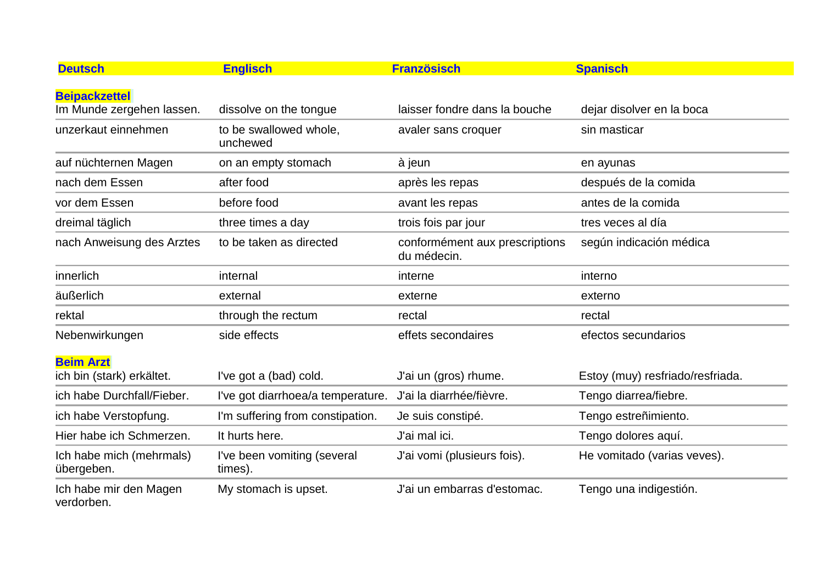| <b>Deutsch</b>                                | <b>Englisch</b>                        | <b>Französisch</b>                            | <b>Spanisch</b>                  |
|-----------------------------------------------|----------------------------------------|-----------------------------------------------|----------------------------------|
| <b>Beipackzettel</b>                          |                                        |                                               |                                  |
| Im Munde zergehen lassen.                     | dissolve on the tongue                 | laisser fondre dans la bouche                 | dejar disolver en la boca        |
| unzerkaut einnehmen                           | to be swallowed whole,<br>unchewed     | avaler sans croquer                           | sin masticar                     |
| auf nüchternen Magen                          | on an empty stomach                    | à jeun                                        | en ayunas                        |
| nach dem Essen                                | after food                             | après les repas                               | después de la comida             |
| vor dem Essen                                 | before food                            | avant les repas                               | antes de la comida               |
| dreimal täglich                               | three times a day                      | trois fois par jour                           | tres veces al día                |
| nach Anweisung des Arztes                     | to be taken as directed                | conformément aux prescriptions<br>du médecin. | según indicación médica          |
| innerlich                                     | internal                               | interne                                       | interno                          |
| äußerlich                                     | external                               | externe                                       | externo                          |
| rektal                                        | through the rectum                     | rectal                                        | rectal                           |
| Nebenwirkungen                                | side effects                           | effets secondaires                            | efectos secundarios              |
| <b>Beim Arzt</b><br>ich bin (stark) erkältet. | I've got a (bad) cold.                 | J'ai un (gros) rhume.                         | Estoy (muy) resfriado/resfriada. |
| ich habe Durchfall/Fieber.                    | I've got diarrhoea/a temperature.      | J'ai la diarrhée/fièvre.                      | Tengo diarrea/fiebre.            |
| ich habe Verstopfung.                         | I'm suffering from constipation.       | Je suis constipé.                             | Tengo estreñimiento.             |
| Hier habe ich Schmerzen.                      | It hurts here.                         | J'ai mal ici.                                 | Tengo dolores aquí.              |
| Ich habe mich (mehrmals)<br>übergeben.        | I've been vomiting (several<br>times). | J'ai vomi (plusieurs fois).                   | He vomitado (varias veves).      |
| Ich habe mir den Magen<br>verdorben.          | My stomach is upset.                   | J'ai un embarras d'estomac.                   | Tengo una indigestión.           |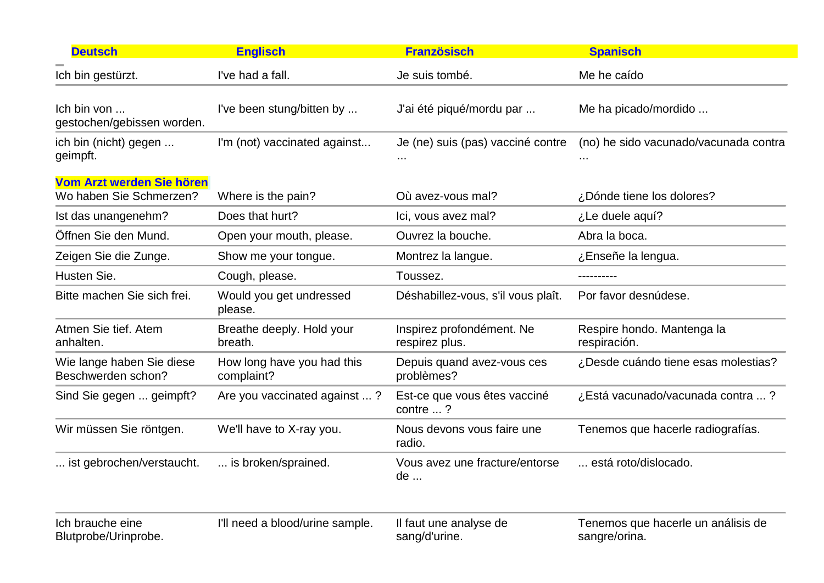| <b>Deutsch</b>                                       | <b>Englisch</b>                          | <b>Französisch</b>                          | <b>Spanisch</b>                                     |
|------------------------------------------------------|------------------------------------------|---------------------------------------------|-----------------------------------------------------|
| Ich bin gestürzt.                                    | I've had a fall.                         | Je suis tombé.                              | Me he caído                                         |
| Ich bin von<br>gestochen/gebissen worden.            | I've been stung/bitten by                | J'ai été piqué/mordu par                    | Me ha picado/mordido                                |
| ich bin (nicht) gegen<br>geimpft.                    | I'm (not) vaccinated against             | Je (ne) suis (pas) vacciné contre           | (no) he sido vacunado/vacunada contra               |
| Vom Arzt werden Sie hören<br>Wo haben Sie Schmerzen? | Where is the pain?                       | Où avez-vous mal?                           | ¿Dónde tiene los dolores?                           |
| Ist das unangenehm?                                  | Does that hurt?                          | Ici, vous avez mal?                         | ¿Le duele aquí?                                     |
| Öffnen Sie den Mund.                                 | Open your mouth, please.                 | Ouvrez la bouche.                           | Abra la boca.                                       |
| Zeigen Sie die Zunge.                                | Show me your tongue.                     | Montrez la langue.                          | ¿Enseñe la lengua.                                  |
| Husten Sie.                                          | Cough, please.                           | Toussez.                                    | ----------                                          |
| Bitte machen Sie sich frei.                          | Would you get undressed<br>please.       | Déshabillez-vous, s'il vous plaît.          | Por favor desnúdese.                                |
| Atmen Sie tief. Atem<br>anhalten.                    | Breathe deeply. Hold your<br>breath.     | Inspirez profondément. Ne<br>respirez plus. | Respire hondo. Mantenga la<br>respiración.          |
| Wie lange haben Sie diese<br>Beschwerden schon?      | How long have you had this<br>complaint? | Depuis quand avez-vous ces<br>problèmes?    | ¿Desde cuándo tiene esas molestias?                 |
| Sind Sie gegen  geimpft?                             | Are you vaccinated against ?             | Est-ce que vous êtes vacciné<br>contre ?    | ¿Está vacunado/vacunada contra ?                    |
| Wir müssen Sie röntgen.                              | We'll have to X-ray you.                 | Nous devons vous faire une<br>radio.        | Tenemos que hacerle radiografías.                   |
| ist gebrochen/verstaucht.                            | is broken/sprained.                      | Vous avez une fracture/entorse<br>de        | está roto/dislocado.                                |
| Ich brauche eine<br>Blutprobe/Urinprobe.             | I'll need a blood/urine sample.          | Il faut une analyse de<br>sang/d'urine.     | Tenemos que hacerle un análisis de<br>sangre/orina. |